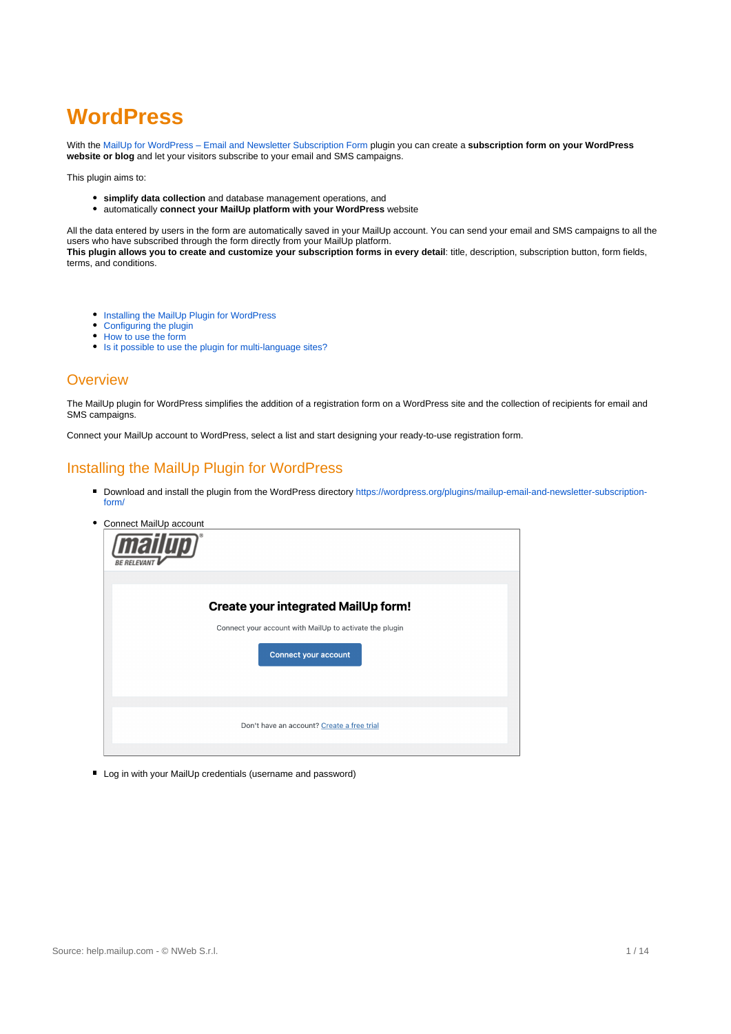# **WordPress**

With the [MailUp for WordPress – Email and Newsletter Subscription Form](https://wordpress.org/plugins/mailup-email-and-newsletter-subscription-form/) plugin you can create a **subscription form on your WordPress website or blog** and let your visitors subscribe to your email and SMS campaigns.

This plugin aims to:

- **simplify data collection** and database management operations, and
- automatically **connect your MailUp platform with your WordPress** website

All the data entered by users in the form are automatically saved in your MailUp account. You can send your email and SMS campaigns to all the users who have subscribed through the form directly from your MailUp platform.

**This plugin allows you to create and customize your subscription forms in every detail**: title, description, subscription button, form fields, terms, and conditions.

- [Installing the MailUp Plugin for WordPress](#page-0-0)
- [Configuring the plugin](#page-1-0)
- [How to use the form](#page-5-0)
- [Is it possible to use the plugin for multi-language sites?](#page-5-1)

## **Overview**

The MailUp plugin for WordPress simplifies the addition of a registration form on a WordPress site and the collection of recipients for email and SMS campaigns.

Connect your MailUp account to WordPress, select a list and start designing your ready-to-use registration form.

## <span id="page-0-0"></span>Installing the MailUp Plugin for WordPress

■ Download and install the plugin from the WordPress directory [https://wordpress.org/plugins/mailup-email-and-newsletter-subscription](https://wordpress.org/plugins/mailup-email-and-newsletter-subscription-form/)[form/](https://wordpress.org/plugins/mailup-email-and-newsletter-subscription-form/)

| Connect MailUp account |
|------------------------|
|                        |

| <b>BE RELEVAN</b>                                                                                                             |  |
|-------------------------------------------------------------------------------------------------------------------------------|--|
| <b>Create your integrated MailUp form!</b><br>Connect your account with MailUp to activate the plugin<br>Connect your account |  |
| Don't have an account? Create a free trial                                                                                    |  |

■ Log in with your MailUp credentials (username and password)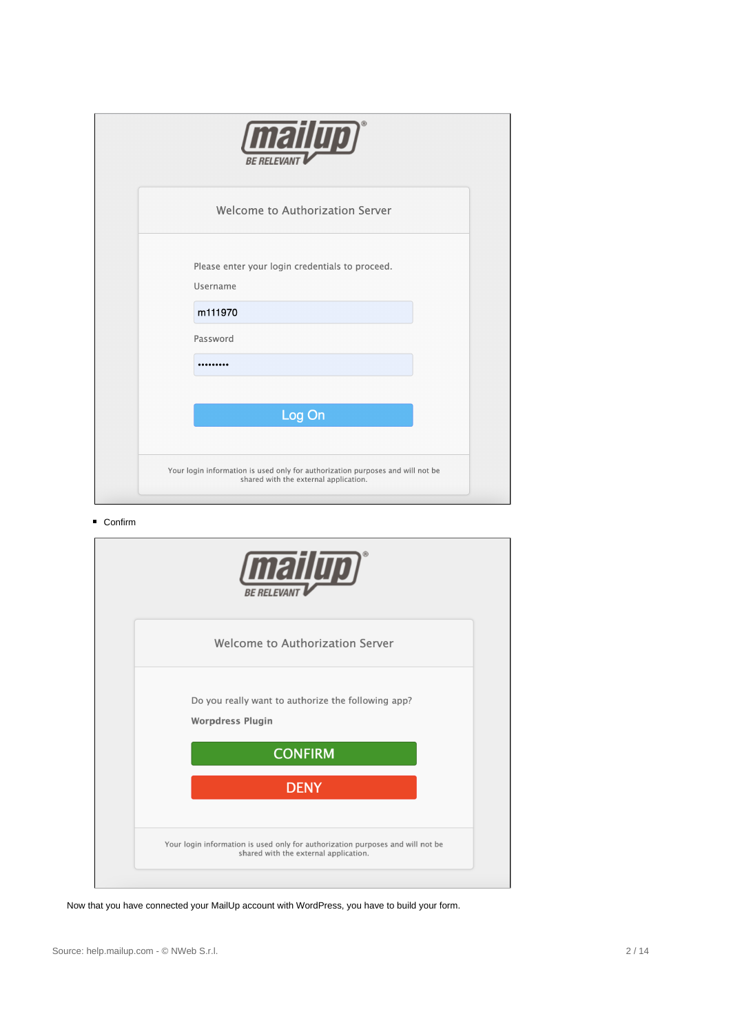| <b>Mailup</b>                                                                                                           |
|-------------------------------------------------------------------------------------------------------------------------|
| Welcome to Authorization Server                                                                                         |
| Please enter your login credentials to proceed.<br>Username<br>m111970<br>Password                                      |
| Log On                                                                                                                  |
| Your login information is used only for authorization purposes and will not be<br>shared with the external application. |

## ■ Confirm

| <b>METITION</b>                                                                                                         |
|-------------------------------------------------------------------------------------------------------------------------|
| Welcome to Authorization Server                                                                                         |
| Do you really want to authorize the following app?<br><b>Worpdress Plugin</b>                                           |
| <b>CONFIRM</b>                                                                                                          |
| <b>DENY</b>                                                                                                             |
| Your login information is used only for authorization purposes and will not be<br>shared with the external application. |

<span id="page-1-0"></span>Now that you have connected your MailUp account with WordPress, you have to build your form.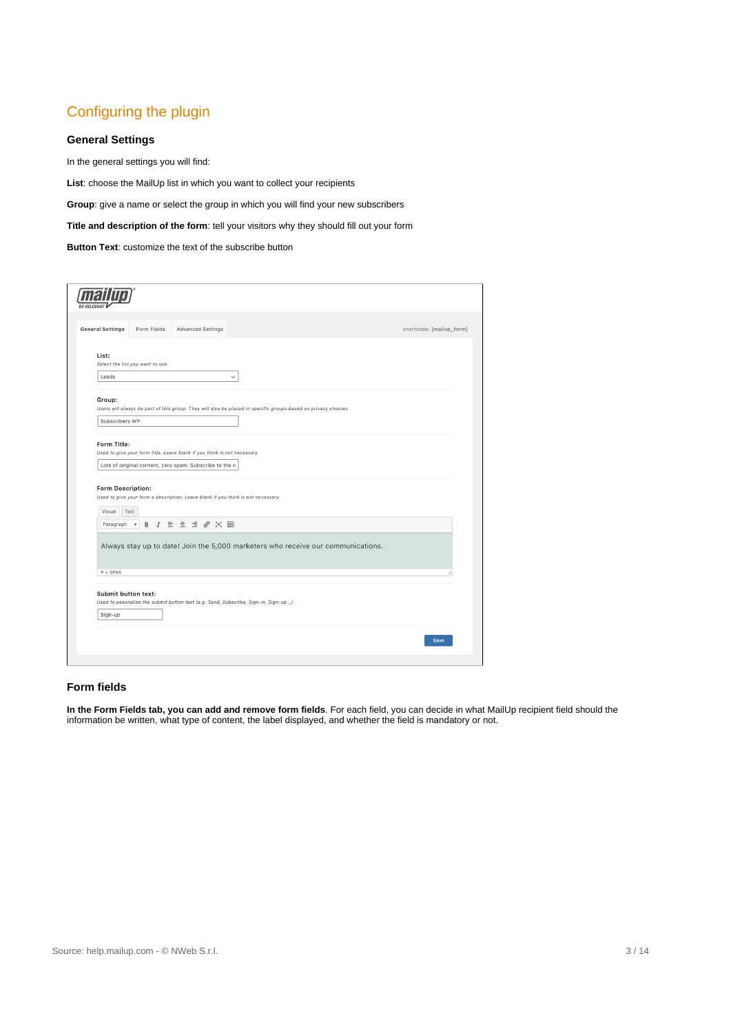## Configuring the plugin

### **General Settings**

In the general settings you will find:

**List**: choose the MailUp list in which you want to collect your recipients

**Group**: give a name or select the group in which you will find your new subscribers

**Title and description of the form**: tell your visitors why they should fill out your form

**Button Text**: customize the text of the subscribe button

| List:                    |                                  |                                                                                                                |                                                                                  |      |
|--------------------------|----------------------------------|----------------------------------------------------------------------------------------------------------------|----------------------------------------------------------------------------------|------|
|                          | Select the list you want to use. |                                                                                                                |                                                                                  |      |
| Leads                    |                                  | $\checkmark$                                                                                                   |                                                                                  |      |
| Group:                   |                                  |                                                                                                                |                                                                                  |      |
|                          |                                  | Users will always be part of this group. They will also be placed in specific groups based on privacy choices. |                                                                                  |      |
| Subscribers WP           |                                  |                                                                                                                |                                                                                  |      |
| Form Title:              |                                  |                                                                                                                |                                                                                  |      |
|                          |                                  |                                                                                                                |                                                                                  |      |
|                          |                                  | Used to give your form title. Leave blank if you think is not necessary.                                       |                                                                                  |      |
|                          |                                  | Lots of original content, zero spam. Subscribe to the n                                                        |                                                                                  |      |
|                          |                                  |                                                                                                                |                                                                                  |      |
| <b>Form Description:</b> |                                  |                                                                                                                |                                                                                  |      |
|                          |                                  | Used to give your form a description. Leave blank if you think is not necessary.                               |                                                                                  |      |
| Visual                   | Text                             |                                                                                                                |                                                                                  |      |
| Paragraph v              |                                  | B J E = = 2 X 冊                                                                                                |                                                                                  |      |
|                          |                                  |                                                                                                                |                                                                                  |      |
|                          |                                  |                                                                                                                | Always stay up to date! Join the 5,000 marketers who receive our communications. |      |
|                          |                                  |                                                                                                                |                                                                                  |      |
| P » SPAN                 |                                  |                                                                                                                |                                                                                  | all. |
|                          |                                  |                                                                                                                |                                                                                  |      |
| Submit button text:      |                                  | Used to pesonalize the submit button text (e.g. Send, Subscribe, Sign-in, Sign-up)                             |                                                                                  |      |
| Sign-up                  |                                  |                                                                                                                |                                                                                  |      |

### **Form fields**

**In the Form Fields tab, you can add and remove form fields**. For each field, you can decide in what MailUp recipient field should the information be written, what type of content, the label displayed, and whether the field is mandatory or not.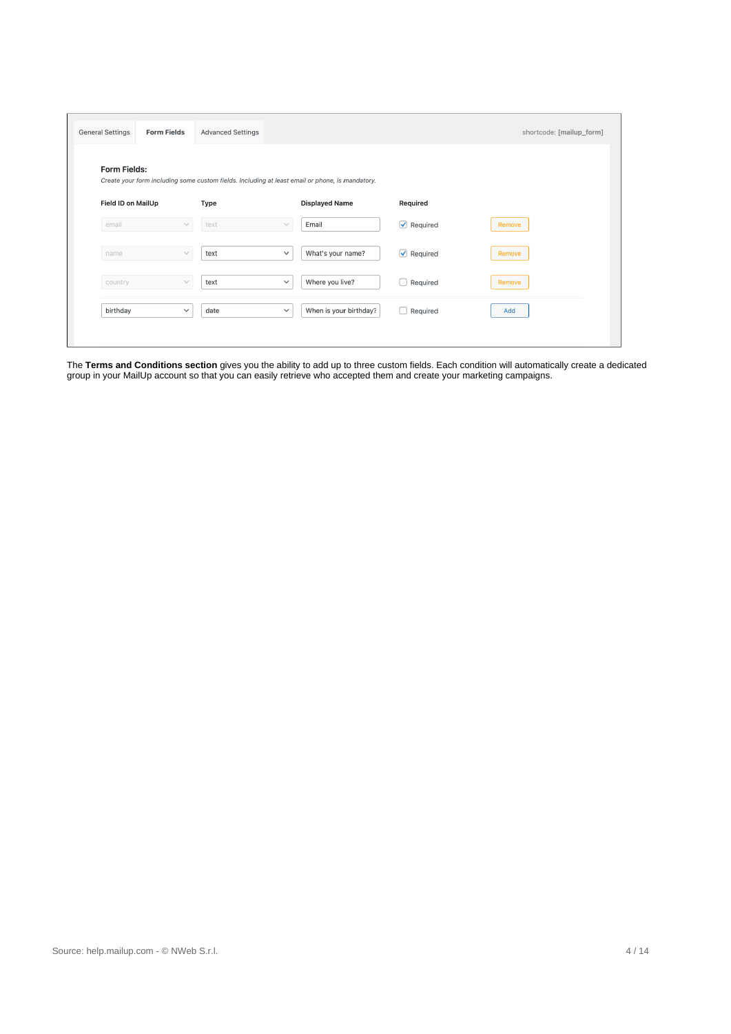| <b>General Settings</b> | <b>Form Fields</b> | <b>Advanced Settings</b> |              |                                                                                                 |                               | shortcode: [mailup_form] |
|-------------------------|--------------------|--------------------------|--------------|-------------------------------------------------------------------------------------------------|-------------------------------|--------------------------|
| Form Fields:            |                    |                          |              | Create your form including some custom fields. Including at least email or phone, is mandatory. |                               |                          |
| Field ID on MailUp      |                    | Type                     |              | <b>Displayed Name</b>                                                                           | Required                      |                          |
| email                   | $\vee$             | text                     | $\checkmark$ | Email                                                                                           | $\sqrt{\phantom{a}}$ Required | Remove                   |
| name                    | $\checkmark$       | text                     | $\checkmark$ | What's your name?                                                                               | $\vee$ Required               | Remove                   |
| country                 | $\checkmark$       | text                     | $\checkmark$ | Where you live?                                                                                 | $\Box$ Required               | Remove                   |
| birthday                | $\checkmark$       | date                     | $\checkmark$ | When is your birthday?                                                                          | ∩<br>Required                 | Add                      |
|                         |                    |                          |              |                                                                                                 |                               |                          |

The **Terms and Conditions section** gives you the ability to add up to three custom fields. Each condition will automatically create a dedicated group in your MailUp account so that you can easily retrieve who accepted them and create your marketing campaigns.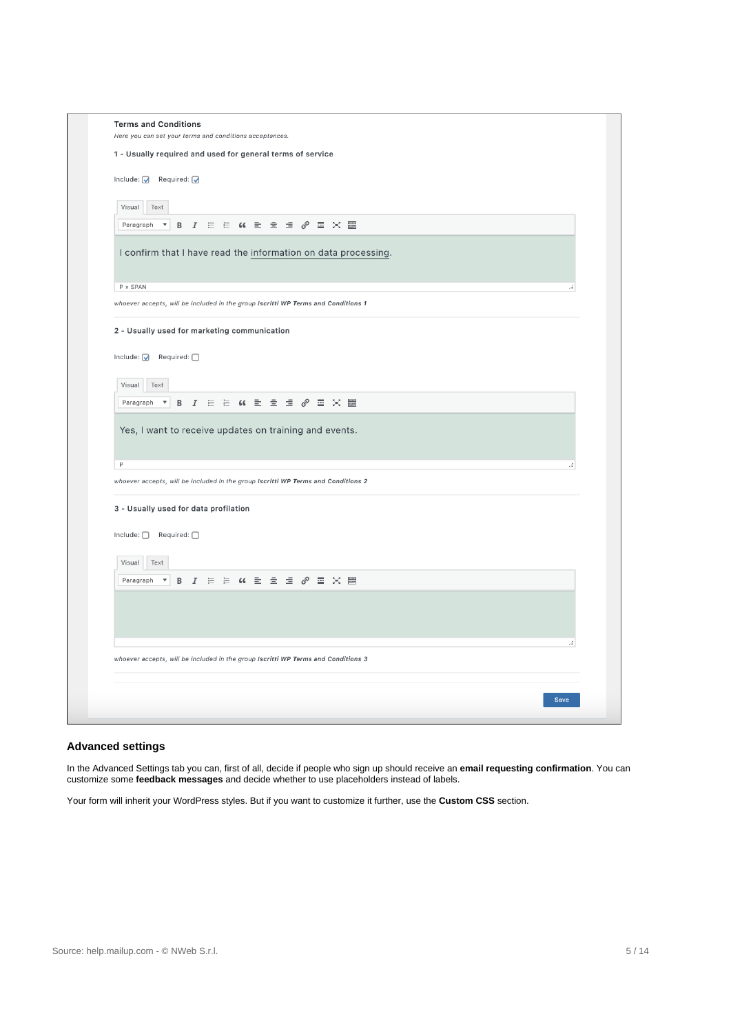| <b>Terms and Conditions</b><br>Here you can set your terms and conditions acceptances.<br>1 - Usually required and used for general terms of service<br>Include: $\sqrt{ }$ Required: $\sqrt{ }$<br>Text<br>Visual<br><i>I</i> 目目 (4) 目 目 2 2 回 ※ 圖<br>Paragraph<br>$\boldsymbol{\mathrm{v}}$<br>В<br>I confirm that I have read the information on data processing.<br>P » SPAN<br>whoever accepts, will be included in the group Iscritti WP Terms and Conditions 1<br>2 - Usually used for marketing communication<br>Include: $\sqrt{\phantom{a}}$ Required: $\Box$<br>Text<br>Visual<br>Paragraph<br>$\boldsymbol{\mathrm{v}}$<br><i>I</i> 目目 (4) 目 目 タ 量 X 圏<br>B<br>Yes, I want to receive updates on training and events.<br>$\, {\sf p}$<br>whoever accepts, will be included in the group Iscritti WP Terms and Conditions 2<br>3 - Usually used for data profilation<br>$Include: \Box$ Required: $\Box$<br>Visual<br>Text<br><i>I</i> . E . E & E ± ± <i>@</i> □ X ■<br>Paragraph<br>$\quad$ $\quad$<br>B<br>whoever accepts, will be included in the group Iscritti WP Terms and Conditions 3<br><b>Save</b> |  |  |
|---------------------------------------------------------------------------------------------------------------------------------------------------------------------------------------------------------------------------------------------------------------------------------------------------------------------------------------------------------------------------------------------------------------------------------------------------------------------------------------------------------------------------------------------------------------------------------------------------------------------------------------------------------------------------------------------------------------------------------------------------------------------------------------------------------------------------------------------------------------------------------------------------------------------------------------------------------------------------------------------------------------------------------------------------------------------------------------------------------------------------|--|--|
|                                                                                                                                                                                                                                                                                                                                                                                                                                                                                                                                                                                                                                                                                                                                                                                                                                                                                                                                                                                                                                                                                                                           |  |  |
|                                                                                                                                                                                                                                                                                                                                                                                                                                                                                                                                                                                                                                                                                                                                                                                                                                                                                                                                                                                                                                                                                                                           |  |  |
|                                                                                                                                                                                                                                                                                                                                                                                                                                                                                                                                                                                                                                                                                                                                                                                                                                                                                                                                                                                                                                                                                                                           |  |  |
|                                                                                                                                                                                                                                                                                                                                                                                                                                                                                                                                                                                                                                                                                                                                                                                                                                                                                                                                                                                                                                                                                                                           |  |  |
|                                                                                                                                                                                                                                                                                                                                                                                                                                                                                                                                                                                                                                                                                                                                                                                                                                                                                                                                                                                                                                                                                                                           |  |  |
|                                                                                                                                                                                                                                                                                                                                                                                                                                                                                                                                                                                                                                                                                                                                                                                                                                                                                                                                                                                                                                                                                                                           |  |  |
|                                                                                                                                                                                                                                                                                                                                                                                                                                                                                                                                                                                                                                                                                                                                                                                                                                                                                                                                                                                                                                                                                                                           |  |  |
|                                                                                                                                                                                                                                                                                                                                                                                                                                                                                                                                                                                                                                                                                                                                                                                                                                                                                                                                                                                                                                                                                                                           |  |  |
|                                                                                                                                                                                                                                                                                                                                                                                                                                                                                                                                                                                                                                                                                                                                                                                                                                                                                                                                                                                                                                                                                                                           |  |  |
|                                                                                                                                                                                                                                                                                                                                                                                                                                                                                                                                                                                                                                                                                                                                                                                                                                                                                                                                                                                                                                                                                                                           |  |  |
|                                                                                                                                                                                                                                                                                                                                                                                                                                                                                                                                                                                                                                                                                                                                                                                                                                                                                                                                                                                                                                                                                                                           |  |  |
|                                                                                                                                                                                                                                                                                                                                                                                                                                                                                                                                                                                                                                                                                                                                                                                                                                                                                                                                                                                                                                                                                                                           |  |  |
|                                                                                                                                                                                                                                                                                                                                                                                                                                                                                                                                                                                                                                                                                                                                                                                                                                                                                                                                                                                                                                                                                                                           |  |  |
|                                                                                                                                                                                                                                                                                                                                                                                                                                                                                                                                                                                                                                                                                                                                                                                                                                                                                                                                                                                                                                                                                                                           |  |  |
|                                                                                                                                                                                                                                                                                                                                                                                                                                                                                                                                                                                                                                                                                                                                                                                                                                                                                                                                                                                                                                                                                                                           |  |  |
|                                                                                                                                                                                                                                                                                                                                                                                                                                                                                                                                                                                                                                                                                                                                                                                                                                                                                                                                                                                                                                                                                                                           |  |  |
|                                                                                                                                                                                                                                                                                                                                                                                                                                                                                                                                                                                                                                                                                                                                                                                                                                                                                                                                                                                                                                                                                                                           |  |  |
|                                                                                                                                                                                                                                                                                                                                                                                                                                                                                                                                                                                                                                                                                                                                                                                                                                                                                                                                                                                                                                                                                                                           |  |  |
|                                                                                                                                                                                                                                                                                                                                                                                                                                                                                                                                                                                                                                                                                                                                                                                                                                                                                                                                                                                                                                                                                                                           |  |  |
|                                                                                                                                                                                                                                                                                                                                                                                                                                                                                                                                                                                                                                                                                                                                                                                                                                                                                                                                                                                                                                                                                                                           |  |  |
|                                                                                                                                                                                                                                                                                                                                                                                                                                                                                                                                                                                                                                                                                                                                                                                                                                                                                                                                                                                                                                                                                                                           |  |  |
|                                                                                                                                                                                                                                                                                                                                                                                                                                                                                                                                                                                                                                                                                                                                                                                                                                                                                                                                                                                                                                                                                                                           |  |  |
|                                                                                                                                                                                                                                                                                                                                                                                                                                                                                                                                                                                                                                                                                                                                                                                                                                                                                                                                                                                                                                                                                                                           |  |  |
|                                                                                                                                                                                                                                                                                                                                                                                                                                                                                                                                                                                                                                                                                                                                                                                                                                                                                                                                                                                                                                                                                                                           |  |  |
|                                                                                                                                                                                                                                                                                                                                                                                                                                                                                                                                                                                                                                                                                                                                                                                                                                                                                                                                                                                                                                                                                                                           |  |  |
|                                                                                                                                                                                                                                                                                                                                                                                                                                                                                                                                                                                                                                                                                                                                                                                                                                                                                                                                                                                                                                                                                                                           |  |  |
|                                                                                                                                                                                                                                                                                                                                                                                                                                                                                                                                                                                                                                                                                                                                                                                                                                                                                                                                                                                                                                                                                                                           |  |  |
|                                                                                                                                                                                                                                                                                                                                                                                                                                                                                                                                                                                                                                                                                                                                                                                                                                                                                                                                                                                                                                                                                                                           |  |  |
|                                                                                                                                                                                                                                                                                                                                                                                                                                                                                                                                                                                                                                                                                                                                                                                                                                                                                                                                                                                                                                                                                                                           |  |  |
|                                                                                                                                                                                                                                                                                                                                                                                                                                                                                                                                                                                                                                                                                                                                                                                                                                                                                                                                                                                                                                                                                                                           |  |  |
|                                                                                                                                                                                                                                                                                                                                                                                                                                                                                                                                                                                                                                                                                                                                                                                                                                                                                                                                                                                                                                                                                                                           |  |  |
|                                                                                                                                                                                                                                                                                                                                                                                                                                                                                                                                                                                                                                                                                                                                                                                                                                                                                                                                                                                                                                                                                                                           |  |  |
|                                                                                                                                                                                                                                                                                                                                                                                                                                                                                                                                                                                                                                                                                                                                                                                                                                                                                                                                                                                                                                                                                                                           |  |  |
|                                                                                                                                                                                                                                                                                                                                                                                                                                                                                                                                                                                                                                                                                                                                                                                                                                                                                                                                                                                                                                                                                                                           |  |  |
|                                                                                                                                                                                                                                                                                                                                                                                                                                                                                                                                                                                                                                                                                                                                                                                                                                                                                                                                                                                                                                                                                                                           |  |  |
|                                                                                                                                                                                                                                                                                                                                                                                                                                                                                                                                                                                                                                                                                                                                                                                                                                                                                                                                                                                                                                                                                                                           |  |  |
|                                                                                                                                                                                                                                                                                                                                                                                                                                                                                                                                                                                                                                                                                                                                                                                                                                                                                                                                                                                                                                                                                                                           |  |  |
|                                                                                                                                                                                                                                                                                                                                                                                                                                                                                                                                                                                                                                                                                                                                                                                                                                                                                                                                                                                                                                                                                                                           |  |  |
|                                                                                                                                                                                                                                                                                                                                                                                                                                                                                                                                                                                                                                                                                                                                                                                                                                                                                                                                                                                                                                                                                                                           |  |  |
|                                                                                                                                                                                                                                                                                                                                                                                                                                                                                                                                                                                                                                                                                                                                                                                                                                                                                                                                                                                                                                                                                                                           |  |  |
|                                                                                                                                                                                                                                                                                                                                                                                                                                                                                                                                                                                                                                                                                                                                                                                                                                                                                                                                                                                                                                                                                                                           |  |  |
|                                                                                                                                                                                                                                                                                                                                                                                                                                                                                                                                                                                                                                                                                                                                                                                                                                                                                                                                                                                                                                                                                                                           |  |  |

## **Advanced settings**

In the Advanced Settings tab you can, first of all, decide if people who sign up should receive an **email requesting confirmation**. You can customize some **feedback messages** and decide whether to use placeholders instead of labels.

Your form will inherit your WordPress styles. But if you want to customize it further, use the **Custom CSS** section.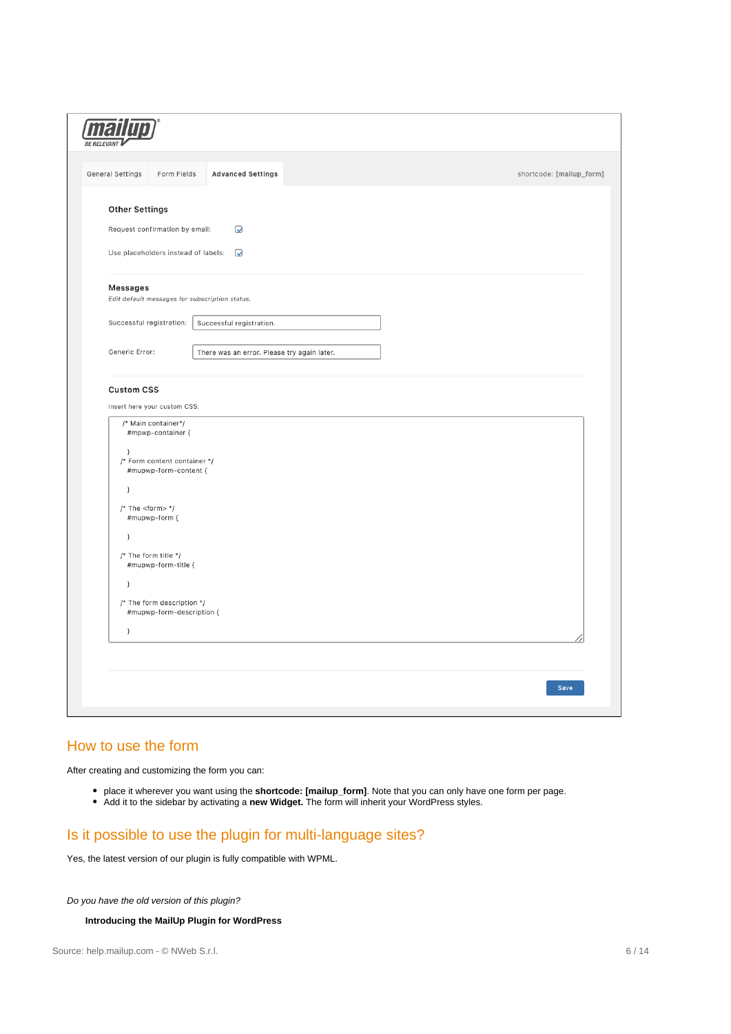| Successful registration. |                                                                                                                                                                                                                                                                                                                                                                                     |
|--------------------------|-------------------------------------------------------------------------------------------------------------------------------------------------------------------------------------------------------------------------------------------------------------------------------------------------------------------------------------------------------------------------------------|
|                          |                                                                                                                                                                                                                                                                                                                                                                                     |
|                          |                                                                                                                                                                                                                                                                                                                                                                                     |
|                          |                                                                                                                                                                                                                                                                                                                                                                                     |
|                          |                                                                                                                                                                                                                                                                                                                                                                                     |
|                          |                                                                                                                                                                                                                                                                                                                                                                                     |
|                          |                                                                                                                                                                                                                                                                                                                                                                                     |
|                          |                                                                                                                                                                                                                                                                                                                                                                                     |
|                          |                                                                                                                                                                                                                                                                                                                                                                                     |
|                          |                                                                                                                                                                                                                                                                                                                                                                                     |
|                          |                                                                                                                                                                                                                                                                                                                                                                                     |
|                          |                                                                                                                                                                                                                                                                                                                                                                                     |
|                          |                                                                                                                                                                                                                                                                                                                                                                                     |
|                          |                                                                                                                                                                                                                                                                                                                                                                                     |
|                          |                                                                                                                                                                                                                                                                                                                                                                                     |
|                          |                                                                                                                                                                                                                                                                                                                                                                                     |
|                          |                                                                                                                                                                                                                                                                                                                                                                                     |
|                          |                                                                                                                                                                                                                                                                                                                                                                                     |
| #mpwp-container {        | Q<br>Request confirmation by email:<br>Use placeholders instead of labels:<br>$\boldsymbol{\mathsf{Q}}$<br>Edit default messages for subscription status.<br>There was an error. Please try again later.<br>Insert here your custom CSS:<br>/* Form content container */<br>#mupwp-form-content {<br>#mupwp-form-title {<br>/* The form description */<br>#mupwp-form-description { |

## <span id="page-5-0"></span>How to use the form

After creating and customizing the form you can:

- place it wherever you want using the **shortcode: [mailup\_form]**. Note that you can only have one form per page.
- Add it to the sidebar by activating a **new Widget.** The form will inherit your WordPress styles.

## <span id="page-5-1"></span>Is it possible to use the plugin for multi-language sites?

Yes, the latest version of our plugin is fully compatible with WPML.

Do you have the old version of this plugin?

**Introducing the MailUp Plugin for WordPress**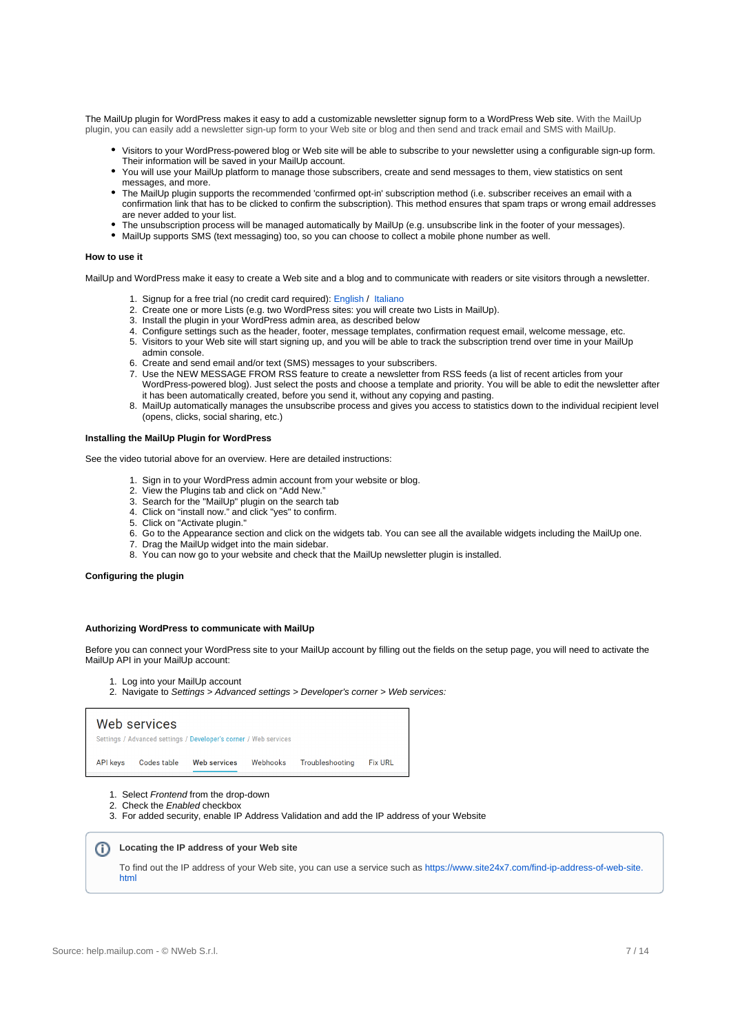The MailUp plugin for WordPress makes it easy to add a customizable newsletter signup form to a WordPress Web site. With the MailUp plugin, you can easily add a newsletter sign-up form to your Web site or blog and then send and track email and SMS with MailUp.

- Visitors to your WordPress-powered blog or Web site will be able to subscribe to your newsletter using a configurable sign-up form. Their information will be saved in your MailUp account.
- You will use your MailUp platform to manage those subscribers, create and send messages to them, view statistics on sent messages, and more.
- The MailUp plugin supports the recommended 'confirmed opt-in' subscription method (i.e. subscriber receives an email with a confirmation link that has to be clicked to confirm the subscription). This method ensures that spam traps or wrong email addresses are never added to your list.
- The unsubscription process will be managed automatically by MailUp (e.g. unsubscribe link in the footer of your messages).
- MailUp supports SMS (text messaging) too, so you can choose to collect a mobile phone number as well.

#### **How to use it**

MailUp and WordPress make it easy to create a Web site and a blog and to communicate with readers or site visitors through a newsletter.

- 1. Signup for a free trial (no credit card required): [English](http://www.mailup.com/try) / [Italiano](http://www.mailup.it/campagne-dem-prova-gratuita.htm)
- 2. Create one or more Lists (e.g. two WordPress sites: you will create two Lists in MailUp).
- 3. Install the plugin in your WordPress admin area, as described below
- 4. Configure settings such as the header, footer, message templates, confirmation request email, welcome message, etc.
- 5. Visitors to your Web site will start signing up, and you will be able to track the subscription trend over time in your MailUp admin console.
- 6. Create and send email and/or text (SMS) messages to your subscribers.
- 7. Use the NEW MESSAGE FROM RSS feature to create a newsletter from RSS feeds (a list of recent articles from your WordPress-powered blog). Just select the posts and choose a template and priority. You will be able to edit the newsletter after it has been automatically created, before you send it, without any copying and pasting.
- 8. MailUp automatically manages the unsubscribe process and gives you access to statistics down to the individual recipient level (opens, clicks, social sharing, etc.)

#### **Installing the MailUp Plugin for WordPress**

See the video tutorial above for an overview. Here are detailed instructions:

- 1. Sign in to your WordPress admin account from your website or blog.
- 2. View the Plugins tab and click on "Add New."
- 3. Search for the "MailUp" plugin on the search tab
- 4. Click on "install now." and click "yes" to confirm.
- 5. Click on "Activate plugin."
- 6. Go to the Appearance section and click on the widgets tab. You can see all the available widgets including the MailUp one.
- 7. Drag the MailUp widget into the main sidebar.
- 8. You can now go to your website and check that the MailUp newsletter plugin is installed.

#### <span id="page-6-0"></span>**Configuring the plugin**

#### **Authorizing WordPress to communicate with MailUp**

Before you can connect your WordPress site to your MailUp account by filling out the fields on the setup page, you will need to activate the MailUp API in your MailUp account:

- 1. Log into your MailUp account
- 2. Navigate to Settings > Advanced settings > Developer's corner > Web services:

| Settings / Advanced settings / Developer's corner / Web services              |                |
|-------------------------------------------------------------------------------|----------------|
| Troubleshooting<br><b>Web services</b><br>Codes table<br>Webhooks<br>API keys | <b>Fix URL</b> |

- 1. Select Frontend from the drop-down
- 2. Check the Enabled checkbox
- 3. For added security, enable IP Address Validation and add the IP address of your Website



To find out the IP address of your Web site, you can use a service such as [https://www.site24x7.com/find-ip-address-of-web-site.](https://www.site24x7.com/find-ip-address-of-web-site.html) [html](https://www.site24x7.com/find-ip-address-of-web-site.html)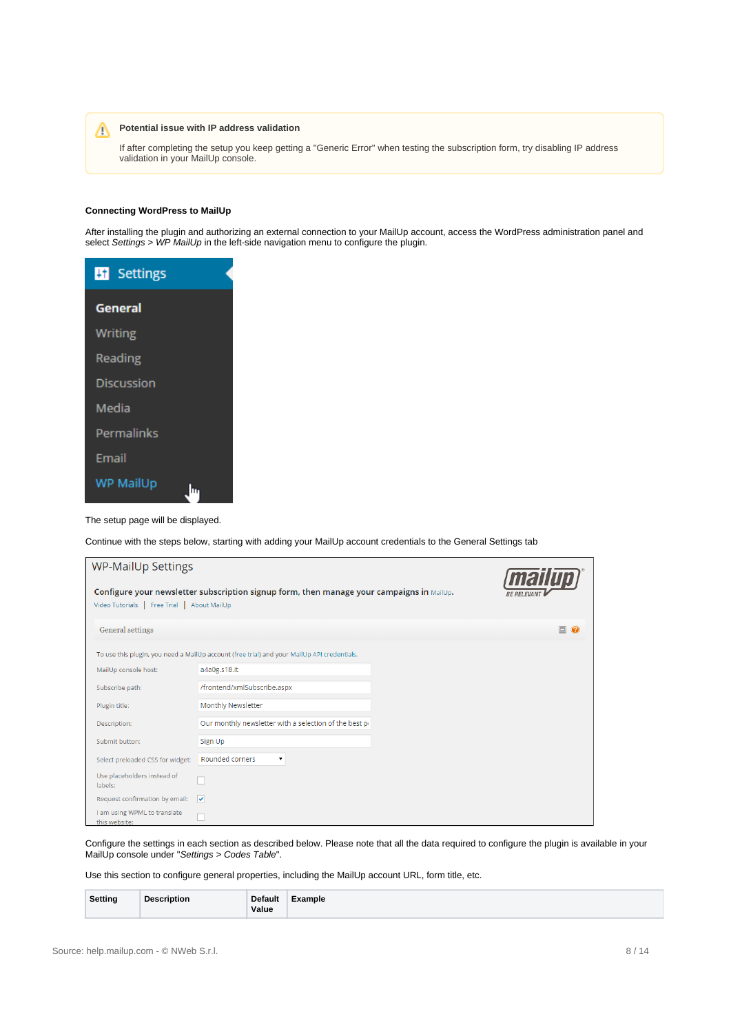#### **Potential issue with IP address validation** Λ

If after completing the setup you keep getting a "Generic Error" when testing the subscription form, try disabling IP address validation in your MailUp console.

### **Connecting WordPress to MailUp**

 $\bigcirc$ 

After installing the plugin and authorizing an external connection to your MailUp account, access the WordPress administration panel and select Se*ttings > WP MailUp* in the left-side navigation menu to configure the plugin.

| <b>H</b> Settings |  |
|-------------------|--|
| General           |  |
| Writing           |  |
| Reading           |  |
| Discussion        |  |
| Media             |  |
| Permalinks        |  |
| Email             |  |
| <b>WP MailUp</b>  |  |

#### The setup page will be displayed.

Continue with the steps below, starting with adding your MailUp account credentials to the General Settings tab

| <b>WP-MailUp Settings</b>                     |                                                                                             |                   |
|-----------------------------------------------|---------------------------------------------------------------------------------------------|-------------------|
|                                               | Configure your newsletter subscription signup form, then manage your campaigns in MailUp.   | <b>BE RELEVAN</b> |
| Video Tutorials   Free Trial   About MailUp   |                                                                                             |                   |
| <b>General settings</b>                       |                                                                                             |                   |
|                                               | To use this plugin, you need a MailUp account (free trial) and your MailUp API credentials. |                   |
| MailUp console host:                          | a4a0g.s18.it                                                                                |                   |
| Subscribe path:                               | /frontend/xmlSubscribe.aspx                                                                 |                   |
| Plugin title:                                 | Monthly Newsletter                                                                          |                   |
| Description:                                  | Our monthly newsletter with a selection of the best pi                                      |                   |
| Submit button:                                | Sign Up                                                                                     |                   |
| Select preloaded CSS for widget:              | Rounded corners<br>▼                                                                        |                   |
| Use placeholders instead of<br>labels:        |                                                                                             |                   |
| Request confirmation by email:                | $\blacktriangledown$                                                                        |                   |
| I am using WPML to translate<br>this website: |                                                                                             |                   |

Configure the settings in each section as described below. Please note that all the data required to configure the plugin is available in your MailUp console under "Settings > Codes Table".

Use this section to configure general properties, including the MailUp account URL, form title, etc.

| Setting | <b>Description</b> | <b>Default</b><br>Value<br>. | Example |
|---------|--------------------|------------------------------|---------|
|---------|--------------------|------------------------------|---------|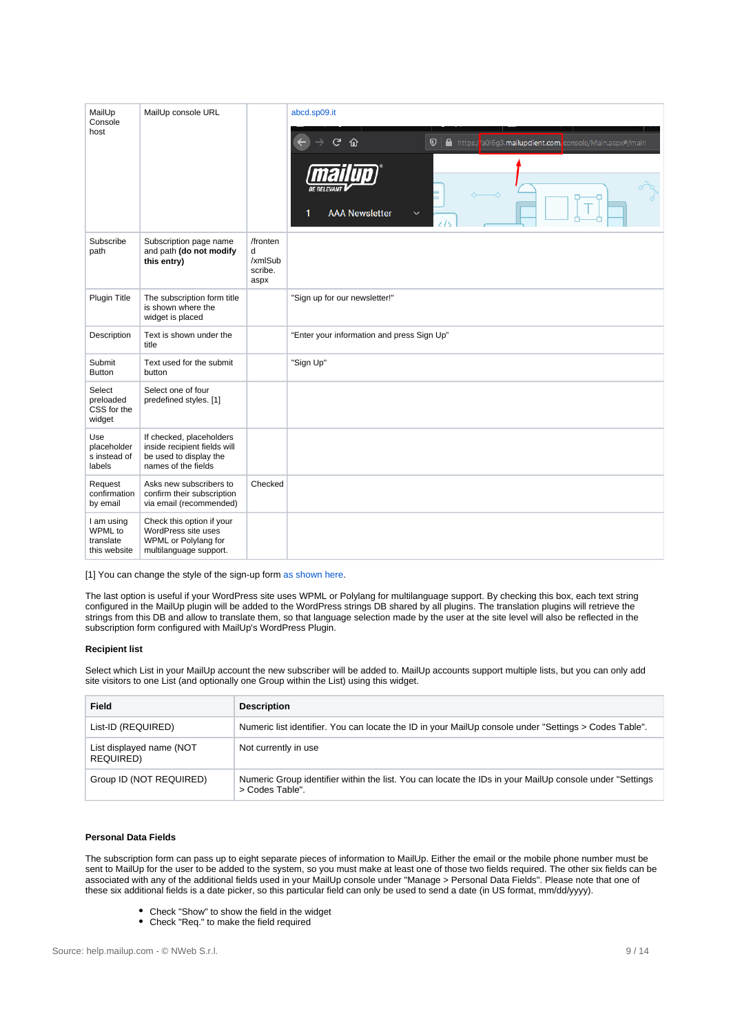| MailUp<br>Console<br>host                          | MailUp console URL                                                                                        |                                             | abcd.sp09.it<br>نج<br>⇧<br>$\boldsymbol{\nabla}$<br>https://a0i6g3.mailupclient.com/console/Main.aspx#/main<br><b>AAA Newsletter</b><br>1<br>$\checkmark$ |
|----------------------------------------------------|-----------------------------------------------------------------------------------------------------------|---------------------------------------------|-----------------------------------------------------------------------------------------------------------------------------------------------------------|
| Subscribe<br>path                                  | Subscription page name<br>and path (do not modify<br>this entry)                                          | /fronten<br>d<br>/xmlSub<br>scribe.<br>aspx |                                                                                                                                                           |
| Plugin Title                                       | The subscription form title<br>is shown where the<br>widget is placed                                     |                                             | "Sign up for our newsletter!"                                                                                                                             |
| Description                                        | Text is shown under the<br>title                                                                          |                                             | "Enter your information and press Sign Up"                                                                                                                |
| Submit<br><b>Button</b>                            | Text used for the submit<br>button                                                                        |                                             | "Sign Up"                                                                                                                                                 |
| Select<br>preloaded<br>CSS for the<br>widget       | Select one of four<br>predefined styles. [1]                                                              |                                             |                                                                                                                                                           |
| Use<br>placeholder<br>s instead of<br>labels       | If checked, placeholders<br>inside recipient fields will<br>be used to display the<br>names of the fields |                                             |                                                                                                                                                           |
| Request<br>confirmation<br>by email                | Asks new subscribers to<br>confirm their subscription<br>via email (recommended)                          | Checked                                     |                                                                                                                                                           |
| I am using<br>WPML to<br>translate<br>this website | Check this option if your<br>WordPress site uses<br>WPML or Polylang for<br>multilanguage support.        |                                             |                                                                                                                                                           |

[1] You can change the style of the sign-up form [as shown here.](http://help.mailup.com/display/mailupUserGuide/WordPress#WordPress-CustomizingthedefaultCSSstyles)

The last option is useful if your WordPress site uses WPML or Polylang for multilanguage support. By checking this box, each text string configured in the MailUp plugin will be added to the WordPress strings DB shared by all plugins. The translation plugins will retrieve the strings from this DB and allow to translate them, so that language selection made by the user at the site level will also be reflected in the subscription form configured with MailUp's WordPress Plugin.

#### **Recipient list**

Select which List in your MailUp account the new subscriber will be added to. MailUp accounts support multiple lists, but you can only add site visitors to one List (and optionally one Group within the List) using this widget.

| Field                                 | <b>Description</b>                                                                                                          |
|---------------------------------------|-----------------------------------------------------------------------------------------------------------------------------|
| List-ID (REQUIRED)                    | Numeric list identifier. You can locate the ID in your MailUp console under "Settings > Codes Table".                       |
| List displayed name (NOT<br>REQUIRED) | Not currently in use                                                                                                        |
| Group ID (NOT REQUIRED)               | Numeric Group identifier within the list. You can locate the IDs in your MailUp console under "Settings"<br>> Codes Table". |

#### **Personal Data Fields**

The subscription form can pass up to eight separate pieces of information to MailUp. Either the email or the mobile phone number must be sent to MailUp for the user to be added to the system, so you must make at least one of those two fields required. The other six fields can be associated with any of the additional fields used in your MailUp console under "Manage > Personal Data Fields". Please note that one of these six additional fields is a date picker, so this particular field can only be used to send a date (in US format, mm/dd/yyyy).

- Check "Show" to show the field in the widget
- Check "Req." to make the field required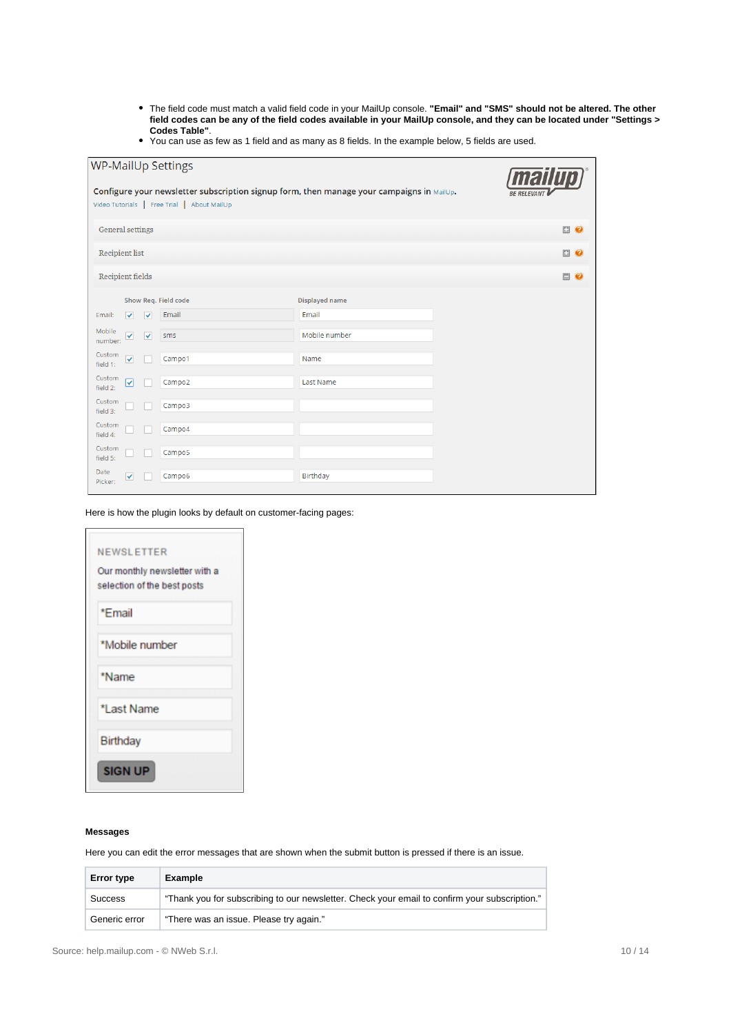- The field code must match a valid field code in your MailUp console. **"Email" and "SMS" should not be altered. The other field codes can be any of the field codes available in your MailUp console, and they can be located under "Settings > Codes Table"**.
- You can use as few as 1 field and as many as 8 fields. In the example below, 5 fields are used.

| <b>WP-MailUp Settings</b>                                                                                                                                    |                         |                      |                       |                   |
|--------------------------------------------------------------------------------------------------------------------------------------------------------------|-------------------------|----------------------|-----------------------|-------------------|
| Configure your newsletter subscription signup form, then manage your campaigns in MailUp.<br><b>BE RELEVA</b><br>Video Tutorials   Free Trial   About MailUp |                         |                      |                       |                   |
| General settings                                                                                                                                             |                         |                      |                       | $\square$ $\odot$ |
| Recipient list                                                                                                                                               |                         |                      |                       | $\Box$ $\odot$    |
| <b>Recipient fields</b>                                                                                                                                      |                         |                      |                       | $\Box$ $\odot$    |
|                                                                                                                                                              |                         | Show Req. Field code | <b>Displayed name</b> |                   |
| ▿<br>Email:                                                                                                                                                  | $\overline{\mathbf{v}}$ | Email                | Email                 |                   |
| Mobile<br>$\blacktriangledown$<br>number:                                                                                                                    | $\overline{\mathbf{v}}$ | sms                  | Mobile number         |                   |
| Custom<br>$\checkmark$<br>field 1:                                                                                                                           |                         | Campo1               | Name                  |                   |
| Custom<br>⊽<br>field 2:                                                                                                                                      |                         | Campo2               | <b>Last Name</b>      |                   |
| Custom<br>field 3:                                                                                                                                           |                         | Campo3               |                       |                   |
| Custom<br>field 4:                                                                                                                                           |                         | Campo4               |                       |                   |
| Custom<br>field 5:                                                                                                                                           |                         | Campo <sub>5</sub>   |                       |                   |
| Date<br>✓<br>Picker:                                                                                                                                         |                         | Campo6               | Birthday              |                   |

Here is how the plugin looks by default on customer-facing pages:

| NEWSLETTER<br>Our monthly newsletter with a<br>selection of the best posts |  |  |  |
|----------------------------------------------------------------------------|--|--|--|
| *Email                                                                     |  |  |  |
| *Mobile number                                                             |  |  |  |
| *Name                                                                      |  |  |  |
| *Last Name                                                                 |  |  |  |
| Birthday                                                                   |  |  |  |
| <b>SIGN UP</b>                                                             |  |  |  |

#### **Messages**

Here you can edit the error messages that are shown when the submit button is pressed if there is an issue.

| <b>Error type</b> | <b>Example</b>                                                                                |
|-------------------|-----------------------------------------------------------------------------------------------|
| <b>Success</b>    | "Thank you for subscribing to our newsletter. Check your email to confirm your subscription." |
| Generic error     | "There was an issue. Please try again."                                                       |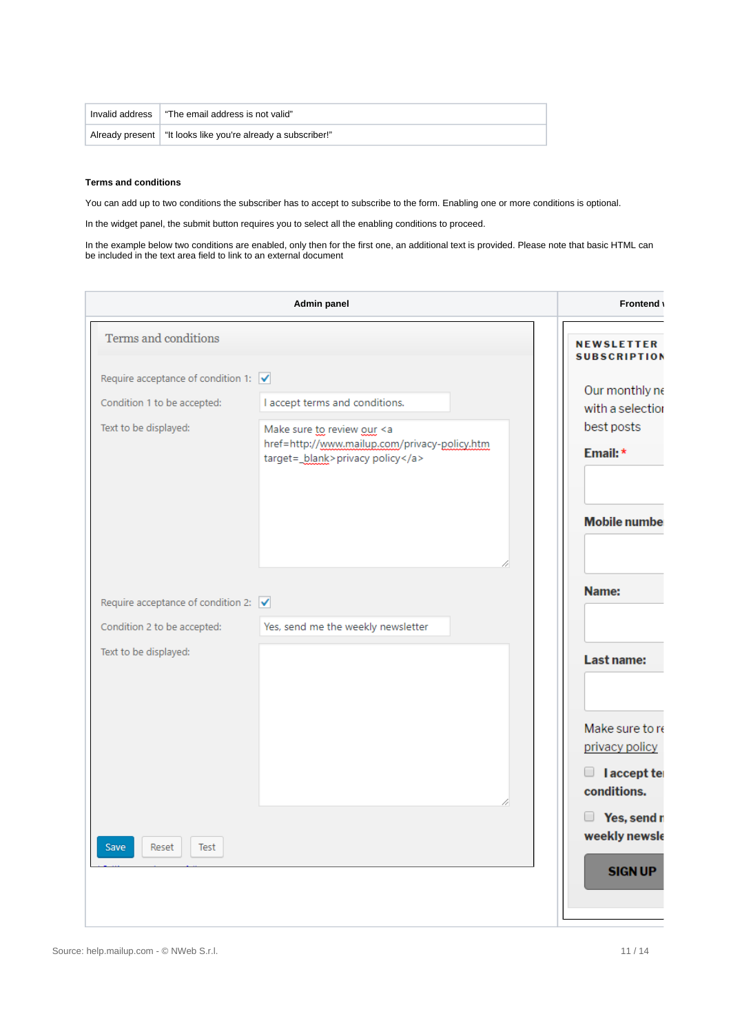| Invalid address | "The email address is not valid"                               |
|-----------------|----------------------------------------------------------------|
|                 | Already present   "It looks like you're already a subscriber!" |

#### **Terms and conditions**

You can add up to two conditions the subscriber has to accept to subscribe to the form. Enabling one or more conditions is optional.

In the widget panel, the submit button requires you to select all the enabling conditions to proceed.

In the example below two conditions are enabled, only then for the first one, an additional text is provided. Please note that basic HTML can be included in the text area field to link to an external document

|                                                                                        | <b>Admin panel</b>                                                                                                     | <b>Frontend</b>                                                            |
|----------------------------------------------------------------------------------------|------------------------------------------------------------------------------------------------------------------------|----------------------------------------------------------------------------|
| Terms and conditions                                                                   |                                                                                                                        | <b>NEWSLETTER</b><br><b>SUBSCRIPTION</b>                                   |
| Require acceptance of condition 1: $\blacktriangledown$                                |                                                                                                                        |                                                                            |
| Condition 1 to be accepted:                                                            | I accept terms and conditions.                                                                                         | Our monthly ne<br>with a selection                                         |
| Text to be displayed:                                                                  | Make sure to review our <a<br>href=http://www.mailup.com/privacy-policy.htm<br/>target=_blank&gt;privacy policy</a<br> | best posts<br>Email: *                                                     |
|                                                                                        |                                                                                                                        | <b>Mobile number</b>                                                       |
| Require acceptance of condition 2: $\sqrt{\phantom{a}}$<br>Condition 2 to be accepted: | Yes, send me the weekly newsletter                                                                                     | Name:                                                                      |
| Text to be displayed:                                                                  |                                                                                                                        | Last name:                                                                 |
|                                                                                        |                                                                                                                        | Make sure to re<br>privacy policy<br>I accept ter<br>$\Box$<br>conditions. |
| Save<br>Reset<br>Test                                                                  |                                                                                                                        | Yes, send n<br>$\Box$<br>weekly newsle<br><b>SIGN UP</b>                   |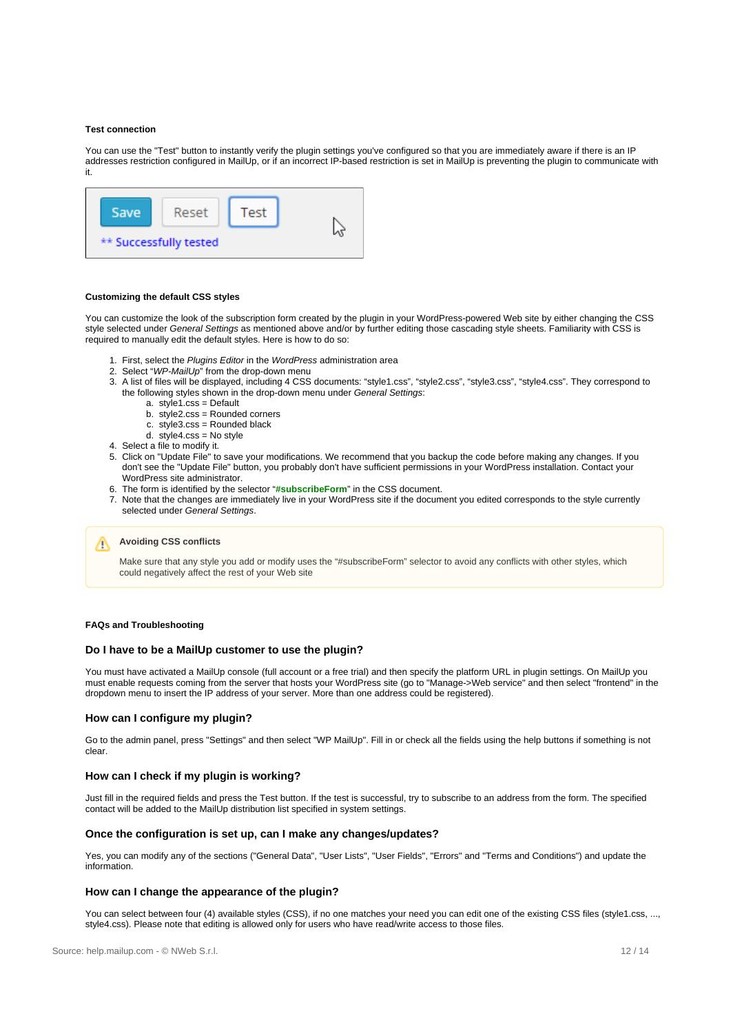#### **Test connection**

You can use the "Test" button to instantly verify the plugin settings you've configured so that you are immediately aware if there is an IP addresses restriction configured in MailUp, or if an incorrect IP-based restriction is set in MailUp is preventing the plugin to communicate with it.



#### **Customizing the default CSS styles**

You can customize the look of the subscription form created by the plugin in your WordPress-powered Web site by either changing the CSS style selected under General Settings as mentioned above and/or by further editing those cascading style sheets. Familiarity with CSS is required to manually edit the default styles. Here is how to do so:

- 1. First, select the Plugins Editor in the WordPress administration area
- 2. Select "WP-MailUp" from the drop-down menu
- 3. A list of files will be displayed, including 4 CSS documents: "style1.css", "style2.css", "style3.css", "style4.css". They correspond to the following styles shown in the drop-down menu under General Settings:
	- a. style1.css = Default
	- b. style2.css = Rounded corners
	- c. style3.css = Rounded black
	- d. style4.css = No style
- 4. Select a file to modify it.
- 5. Click on "Update File" to save your modifications. We recommend that you backup the code before making any changes. If you don't see the "Update File" button, you probably don't have sufficient permissions in your WordPress installation. Contact your WordPress site administrator.
- 6. The form is identified by the selector "**#subscribeForm**" in the CSS document.
- 7. Note that the changes are immediately live in your WordPress site if the document you edited corresponds to the style currently selected under General Settings.

## **Avoiding CSS conflicts**

Make sure that any style you add or modify uses the "#subscribeForm" selector to avoid any conflicts with other styles, which could negatively affect the rest of your Web site

#### **FAQs and Troubleshooting**

#### **Do I have to be a MailUp customer to use the plugin?**

You must have activated a MailUp console (full account or a free trial) and then specify the platform URL in plugin settings. On MailUp you must enable requests coming from the server that hosts your WordPress site (go to "Manage->Web service" and then select "frontend" in the dropdown menu to insert the IP address of your server. More than one address could be registered).

#### **How can I configure my plugin?**

Go to the admin panel, press "Settings" and then select "WP MailUp". Fill in or check all the fields using the help buttons if something is not clear.

#### **How can I check if my plugin is working?**

Just fill in the required fields and press the Test button. If the test is successful, try to subscribe to an address from the form. The specified contact will be added to the MailUp distribution list specified in system settings.

#### **Once the configuration is set up, can I make any changes/updates?**

Yes, you can modify any of the sections ("General Data", "User Lists", "User Fields", "Errors" and "Terms and Conditions") and update the information.

#### **How can I change the appearance of the plugin?**

You can select between four (4) available styles (CSS), if no one matches your need you can edit one of the existing CSS files (style1.css, ..., style4.css). Please note that editing is allowed only for users who have read/write access to those files.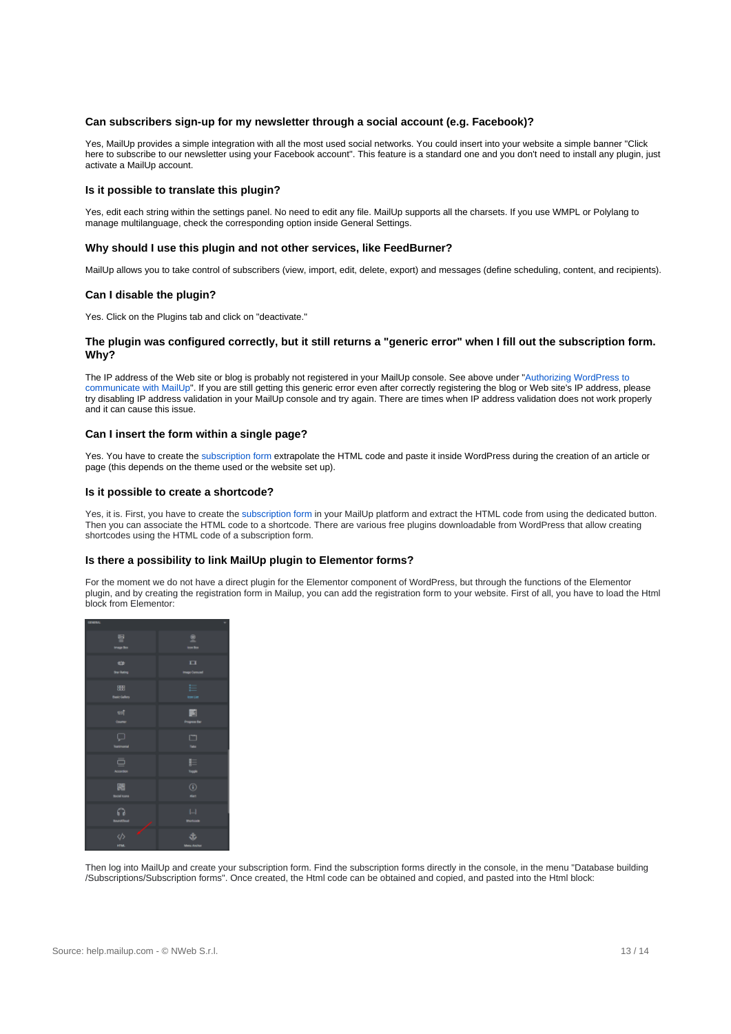#### **Can subscribers sign-up for my newsletter through a social account (e.g. Facebook)?**

Yes, MailUp provides a simple integration with all the most used social networks. You could insert into your website a simple banner "Click here to subscribe to our newsletter using your Facebook account". This feature is a standard one and you don't need to install any plugin, just activate a MailUp account.

#### **Is it possible to translate this plugin?**

Yes, edit each string within the settings panel. No need to edit any file. MailUp supports all the charsets. If you use WMPL or Polylang to manage multilanguage, check the corresponding option inside General Settings.

#### **Why should I use this plugin and not other services, like FeedBurner?**

MailUp allows you to take control of subscribers (view, import, edit, delete, export) and messages (define scheduling, content, and recipients).

#### **Can I disable the plugin?**

Yes. Click on the Plugins tab and click on "deactivate."

### **The plugin was configured correctly, but it still returns a "generic error" when I fill out the subscription form. Why?**

The IP address of the Web site or blog is probably not registered in your MailUp console. See above under "[Authorizing WordPress to](#page-6-0)  [communicate with MailUp"](#page-6-0). If you are still getting this generic error even after correctly registering the blog or Web site's IP address, please try disabling IP address validation in your MailUp console and try again. There are times when IP address validation does not work properly and it can cause this issue.

#### **Can I insert the form within a single page?**

Yes. You have to create the [subscription form](http://help.mailup.com/display/MUG/Subscriptions) extrapolate the HTML code and paste it inside WordPress during the creation of an article or page (this depends on the theme used or the website set up).

#### **Is it possible to create a shortcode?**

Yes, it is. First, you have to create the [subscription form](http://help.mailup.com/display/MUG/Subscriptions) in your MailUp platform and extract the HTML code from using the dedicated button. Then you can associate the HTML code to a shortcode. There are various free plugins downloadable from WordPress that allow creating shortcodes using the HTML code of a subscription form.

#### **Is there a possibility to link MailUp plugin to Elementor forms?**

For the moment we do not have a direct plugin for the Elementor component of WordPress, but through the functions of the Elementor plugin, and by creating the registration form in Mailup, you can add the registration form to your website. First of all, you have to load the Html block from Elementor:

| <b>CENERAL</b>          |                      |
|-------------------------|----------------------|
| 粵                       | 호<br>pa Ro           |
| 崰<br><b>Shar Runing</b> | П<br>pe Comun        |
| 88<br>eciales           | ⋿<br><b>kon List</b> |
| 蚓                       | 灩                    |
| Q                       | □                    |
| 9                       | 胆                    |
| 飅<br>Social topra       | $^{\circ}$           |
| ត                       | $\Box$               |
| <b>HEM</b>              |                      |

Then log into MailUp and create your subscription form. Find the subscription forms directly in the console, in the menu "Database building /Subscriptions/Subscription forms". Once created, the Html code can be obtained and copied, and pasted into the Html block: